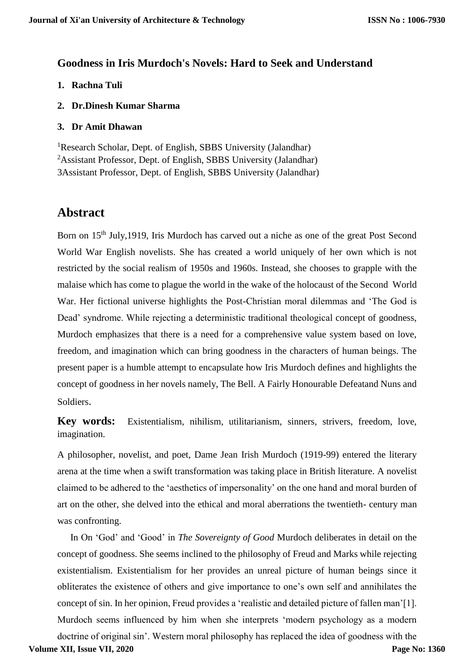## **Goodness in Iris Murdoch's Novels: Hard to Seek and Understand**

- **1. Rachna Tuli**
- **2. Dr.Dinesh Kumar Sharma**
- **3. Dr Amit Dhawan**

<sup>1</sup>Research Scholar, Dept. of English, SBBS University (Jalandhar) <sup>2</sup>Assistant Professor, Dept. of English, SBBS University (Jalandhar) 3Assistant Professor, Dept. of English, SBBS University (Jalandhar)

## **Abstract**

Born on 15<sup>th</sup> July,1919, Iris Murdoch has carved out a niche as one of the great Post Second World War English novelists. She has created a world uniquely of her own which is not restricted by the social realism of 1950s and 1960s. Instead, she chooses to grapple with the malaise which has come to plague the world in the wake of the holocaust of the Second World War. Her fictional universe highlights the Post-Christian moral dilemmas and 'The God is Dead' syndrome. While rejecting a deterministic traditional theological concept of goodness, Murdoch emphasizes that there is a need for a comprehensive value system based on love, freedom, and imagination which can bring goodness in the characters of human beings. The present paper is a humble attempt to encapsulate how Iris Murdoch defines and highlights the concept of goodness in her novels namely, The Bell. A Fairly Honourable Defeatand Nuns and Soldiers.

**Key words:** Existentialism, nihilism, utilitarianism, sinners, strivers, freedom, love, imagination.

A philosopher, novelist, and poet, Dame Jean Irish Murdoch (1919-99) entered the literary arena at the time when a swift transformation was taking place in British literature. A novelist claimed to be adhered to the 'aesthetics of impersonality' on the one hand and moral burden of art on the other, she delved into the ethical and moral aberrations the twentieth- century man was confronting.

In On 'God' and 'Good' in *The Sovereignty of Good* Murdoch deliberates in detail on the concept of goodness. She seems inclined to the philosophy of Freud and Marks while rejecting existentialism. Existentialism for her provides an unreal picture of human beings since it obliterates the existence of others and give importance to one's own self and annihilates the concept of sin. In her opinion, Freud provides a 'realistic and detailed picture of fallen man'[1]. Murdoch seems influenced by him when she interprets 'modern psychology as a modern doctrine of original sin'. Western moral philosophy has replaced the idea of goodness with the **Volume XII, Issue VII, 2020 Page No: 1360**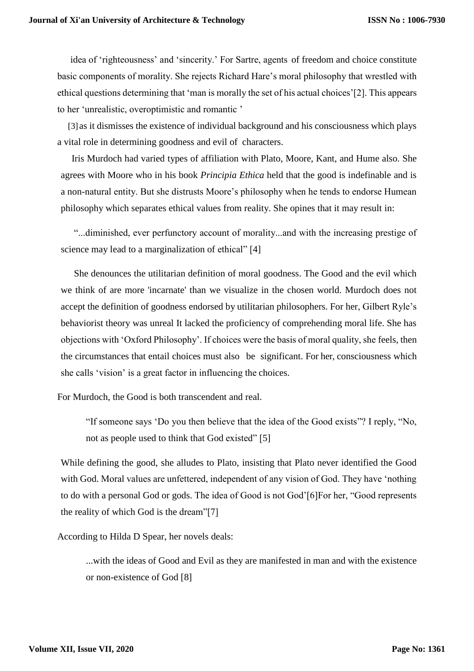idea of 'righteousness' and 'sincerity.' For Sartre, agents of freedom and choice constitute basic components of morality. She rejects Richard Hare's moral philosophy that wrestled with ethical questions determining that 'man is morally the set of his actual choices'[2]. This appears to her 'unrealistic, overoptimistic and romantic '

[3] as it dismisses the existence of individual background and his consciousness which plays a vital role in determining goodness and evil of characters.

Iris Murdoch had varied types of affiliation with Plato, Moore, Kant, and Hume also. She agrees with Moore who in his book *Principia Ethica* held that the good is indefinable and is a non-natural entity. But she distrusts Moore's philosophy when he tends to endorse Humean philosophy which separates ethical values from reality. She opines that it may result in:

"...diminished, ever perfunctory account of morality...and with the increasing prestige of science may lead to a marginalization of ethical" [4]

She denounces the utilitarian definition of moral goodness. The Good and the evil which we think of are more 'incarnate' than we visualize in the chosen world. Murdoch does not accept the definition of goodness endorsed by utilitarian philosophers. For her, Gilbert Ryle's behaviorist theory was unreal It lacked the proficiency of comprehending moral life. She has objections with 'Oxford Philosophy'. If choices were the basis of moral quality, she feels, then the circumstances that entail choices must also be significant. For her, consciousness which she calls 'vision' is a great factor in influencing the choices.

For Murdoch, the Good is both transcendent and real.

"If someone says 'Do you then believe that the idea of the Good exists"? I reply, "No, not as people used to think that God existed" [5]

While defining the good, she alludes to Plato, insisting that Plato never identified the Good with God. Moral values are unfettered, independent of any vision of God. They have 'nothing to do with a personal God or gods. The idea of Good is not God'[6]For her, "Good represents the reality of which God is the dream"[7]

According to Hilda D Spear, her novels deals:

...with the ideas of Good and Evil as they are manifested in man and with the existence or non-existence of God [8]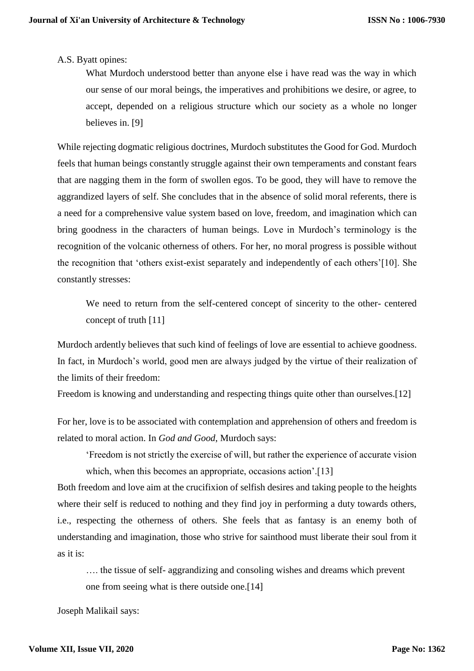## A.S. Byatt opines:

What Murdoch understood better than anyone else i have read was the way in which our sense of our moral beings, the imperatives and prohibitions we desire, or agree, to accept, depended on a religious structure which our society as a whole no longer believes in. [9]

While rejecting dogmatic religious doctrines, Murdoch substitutes the Good for God. Murdoch feels that human beings constantly struggle against their own temperaments and constant fears that are nagging them in the form of swollen egos. To be good, they will have to remove the aggrandized layers of self. She concludes that in the absence of solid moral referents, there is a need for a comprehensive value system based on love, freedom, and imagination which can bring goodness in the characters of human beings. Love in Murdoch's terminology is the recognition of the volcanic otherness of others. For her, no moral progress is possible without the recognition that 'others exist-exist separately and independently of each others'[10]. She constantly stresses:

We need to return from the self-centered concept of sincerity to the other- centered concept of truth [11]

Murdoch ardently believes that such kind of feelings of love are essential to achieve goodness. In fact, in Murdoch's world, good men are always judged by the virtue of their realization of the limits of their freedom:

Freedom is knowing and understanding and respecting things quite other than ourselves.[12]

For her, love is to be associated with contemplation and apprehension of others and freedom is related to moral action. In *God and Good*, Murdoch says:

'Freedom is not strictly the exercise of will, but rather the experience of accurate vision which, when this becomes an appropriate, occasions action'.<sup>[13]</sup>

Both freedom and love aim at the crucifixion of selfish desires and taking people to the heights where their self is reduced to nothing and they find joy in performing a duty towards others, i.e., respecting the otherness of others. She feels that as fantasy is an enemy both of understanding and imagination, those who strive for sainthood must liberate their soul from it as it is:

…. the tissue of self- aggrandizing and consoling wishes and dreams which prevent one from seeing what is there outside one.[14]

Joseph Malikail says: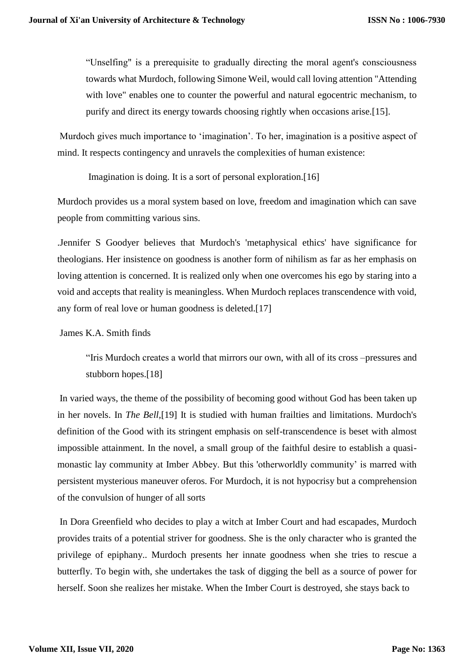"Unselfing" is a prerequisite to gradually directing the moral agent's consciousness towards what Murdoch, following Simone Weil, would call loving attention "Attending with love" enables one to counter the powerful and natural egocentric mechanism, to purify and direct its energy towards choosing rightly when occasions arise.[15].

Murdoch gives much importance to 'imagination'. To her, imagination is a positive aspect of mind. It respects contingency and unravels the complexities of human existence:

Imagination is doing. It is a sort of personal exploration.[16]

Murdoch provides us a moral system based on love, freedom and imagination which can save people from committing various sins.

.Jennifer S Goodyer believes that Murdoch's 'metaphysical ethics' have significance for theologians. Her insistence on goodness is another form of nihilism as far as her emphasis on loving attention is concerned. It is realized only when one overcomes his ego by staring into a void and accepts that reality is meaningless. When Murdoch replaces transcendence with void, any form of real love or human goodness is deleted.[17]

James K.A. Smith finds

"Iris Murdoch creates a world that mirrors our own, with all of its cross –pressures and stubborn hopes.[18]

In varied ways, the theme of the possibility of becoming good without God has been taken up in her novels. In *The Bell,*[19] It is studied with human frailties and limitations. Murdoch's definition of the Good with its stringent emphasis on self-transcendence is beset with almost impossible attainment. In the novel, a small group of the faithful desire to establish a quasimonastic lay community at Imber Abbey. But this 'otherworldly community' is marred with persistent mysterious maneuver oferos. For Murdoch, it is not hypocrisy but a comprehension of the convulsion of hunger of all sorts

In Dora Greenfield who decides to play a witch at Imber Court and had escapades, Murdoch provides traits of a potential striver for goodness. She is the only character who is granted the privilege of epiphany.. Murdoch presents her innate goodness when she tries to rescue a butterfly. To begin with, she undertakes the task of digging the bell as a source of power for herself. Soon she realizes her mistake. When the Imber Court is destroyed, she stays back to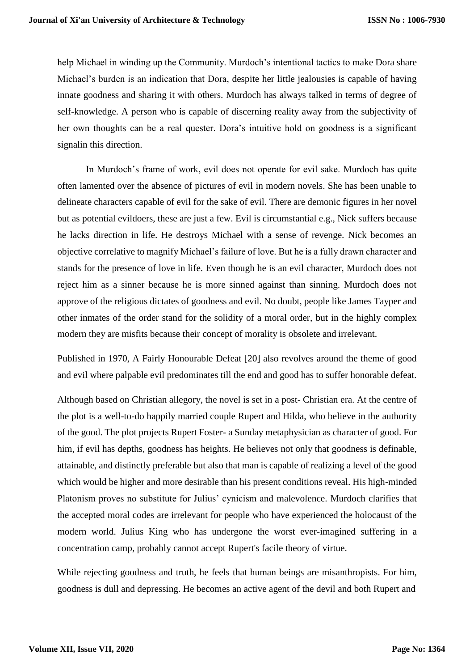help Michael in winding up the Community. Murdoch's intentional tactics to make Dora share Michael's burden is an indication that Dora, despite her little jealousies is capable of having innate goodness and sharing it with others. Murdoch has always talked in terms of degree of self-knowledge. A person who is capable of discerning reality away from the subjectivity of her own thoughts can be a real quester. Dora's intuitive hold on goodness is a significant signalin this direction.

In Murdoch's frame of work, evil does not operate for evil sake. Murdoch has quite often lamented over the absence of pictures of evil in modern novels. She has been unable to delineate characters capable of evil for the sake of evil. There are demonic figures in her novel but as potential evildoers, these are just a few. Evil is circumstantial e.g., Nick suffers because he lacks direction in life. He destroys Michael with a sense of revenge. Nick becomes an objective correlative to magnify Michael's failure of love. But he is a fully drawn character and stands for the presence of love in life. Even though he is an evil character, Murdoch does not reject him as a sinner because he is more sinned against than sinning. Murdoch does not approve of the religious dictates of goodness and evil. No doubt, people like James Tayper and other inmates of the order stand for the solidity of a moral order, but in the highly complex modern they are misfits because their concept of morality is obsolete and irrelevant.

Published in 1970, A Fairly Honourable Defeat [20] also revolves around the theme of good and evil where palpable evil predominates till the end and good has to suffer honorable defeat.

Although based on Christian allegory, the novel is set in a post- Christian era. At the centre of the plot is a well-to-do happily married couple Rupert and Hilda, who believe in the authority of the good. The plot projects Rupert Foster- a Sunday metaphysician as character of good. For him, if evil has depths, goodness has heights. He believes not only that goodness is definable, attainable, and distinctly preferable but also that man is capable of realizing a level of the good which would be higher and more desirable than his present conditions reveal. His high-minded Platonism proves no substitute for Julius' cynicism and malevolence. Murdoch clarifies that the accepted moral codes are irrelevant for people who have experienced the holocaust of the modern world. Julius King who has undergone the worst ever-imagined suffering in a concentration camp, probably cannot accept Rupert's facile theory of virtue.

While rejecting goodness and truth, he feels that human beings are misanthropists. For him, goodness is dull and depressing. He becomes an active agent of the devil and both Rupert and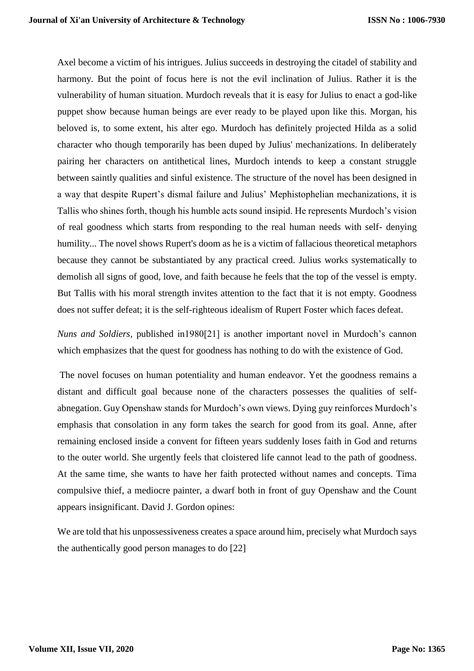Axel become a victim of his intrigues. Julius succeeds in destroying the citadel of stability and harmony. But the point of focus here is not the evil inclination of Julius. Rather it is the vulnerability of human situation. Murdoch reveals that it is easy for Julius to enact a god-like puppet show because human beings are ever ready to be played upon like this. Morgan, his beloved is, to some extent, his alter ego. Murdoch has definitely projected Hilda as a solid character who though temporarily has been duped by Julius' mechanizations. In deliberately pairing her characters on antithetical lines, Murdoch intends to keep a constant struggle between saintly qualities and sinful existence. The structure of the novel has been designed in a way that despite Rupert's dismal failure and Julius' Mephistophelian mechanizations, it is Tallis who shines forth, though his humble acts sound insipid. He represents Murdoch's vision of real goodness which starts from responding to the real human needs with self- denying humility... The novel shows Rupert's doom as he is a victim of fallacious theoretical metaphors because they cannot be substantiated by any practical creed. Julius works systematically to demolish all signs of good, love, and faith because he feels that the top of the vessel is empty. But Tallis with his moral strength invites attention to the fact that it is not empty. Goodness does not suffer defeat; it is the self-righteous idealism of Rupert Foster which faces defeat.

*Nuns and Soldiers,* published in1980[21] is another important novel in Murdoch's cannon which emphasizes that the quest for goodness has nothing to do with the existence of God.

The novel focuses on human potentiality and human endeavor. Yet the goodness remains a distant and difficult goal because none of the characters possesses the qualities of selfabnegation. Guy Openshaw stands for Murdoch's own views. Dying guy reinforces Murdoch's emphasis that consolation in any form takes the search for good from its goal. Anne, after remaining enclosed inside a convent for fifteen years suddenly loses faith in God and returns to the outer world. She urgently feels that cloistered life cannot lead to the path of goodness. At the same time, she wants to have her faith protected without names and concepts. Tima compulsive thief, a mediocre painter, a dwarf both in front of guy Openshaw and the Count appears insignificant. David J. Gordon opines:

We are told that his unpossessiveness creates a space around him, precisely what Murdoch says the authentically good person manages to do [22]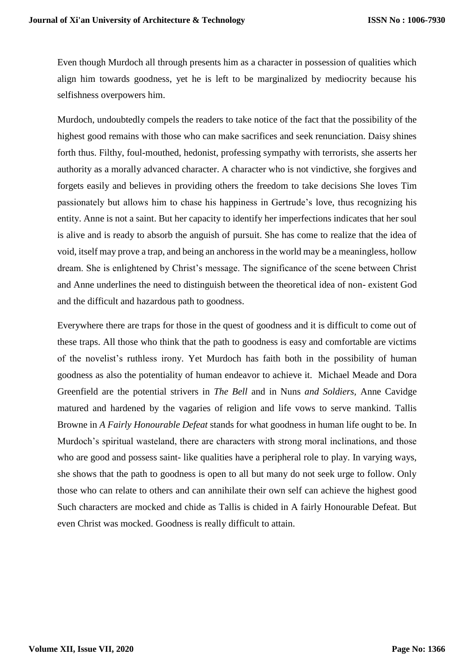Even though Murdoch all through presents him as a character in possession of qualities which align him towards goodness, yet he is left to be marginalized by mediocrity because his selfishness overpowers him.

Murdoch, undoubtedly compels the readers to take notice of the fact that the possibility of the highest good remains with those who can make sacrifices and seek renunciation. Daisy shines forth thus. Filthy, foul-mouthed, hedonist, professing sympathy with terrorists, she asserts her authority as a morally advanced character. A character who is not vindictive, she forgives and forgets easily and believes in providing others the freedom to take decisions She loves Tim passionately but allows him to chase his happiness in Gertrude's love, thus recognizing his entity. Anne is not a saint. But her capacity to identify her imperfections indicates that her soul is alive and is ready to absorb the anguish of pursuit. She has come to realize that the idea of void, itself may prove a trap, and being an anchoress in the world may be a meaningless, hollow dream. She is enlightened by Christ's message. The significance of the scene between Christ and Anne underlines the need to distinguish between the theoretical idea of non- existent God and the difficult and hazardous path to goodness.

Everywhere there are traps for those in the quest of goodness and it is difficult to come out of these traps. All those who think that the path to goodness is easy and comfortable are victims of the novelist's ruthless irony. Yet Murdoch has faith both in the possibility of human goodness as also the potentiality of human endeavor to achieve it. Michael Meade and Dora Greenfield are the potential strivers in *The Bell* and in Nuns *and Soldiers,* Anne Cavidge matured and hardened by the vagaries of religion and life vows to serve mankind. Tallis Browne in *A Fairly Honourable Defeat* stands for what goodness in human life ought to be. In Murdoch's spiritual wasteland, there are characters with strong moral inclinations, and those who are good and possess saint- like qualities have a peripheral role to play. In varying ways, she shows that the path to goodness is open to all but many do not seek urge to follow. Only those who can relate to others and can annihilate their own self can achieve the highest good Such characters are mocked and chide as Tallis is chided in A fairly Honourable Defeat. But even Christ was mocked. Goodness is really difficult to attain.